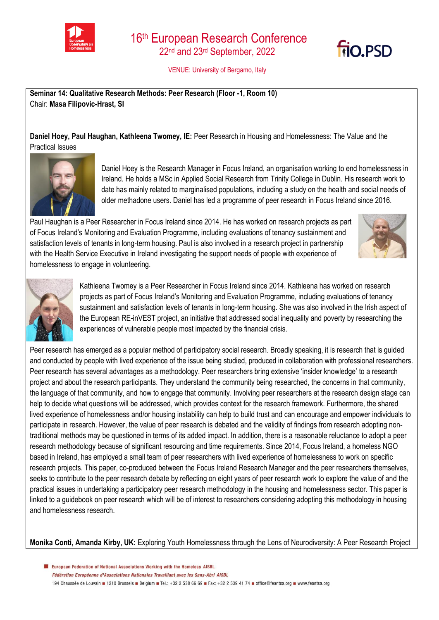



VENUE: University of Bergamo, Italy

**Seminar 14: Qualitative Research Methods: Peer Research (Floor -1, Room 10)**  Chair: **Masa Filipovic-Hrast, SI**

**Daniel Hoey, Paul Haughan, Kathleena Twomey, IE:** Peer Research in Housing and Homelessness: The Value and the Practical Issues



Daniel Hoey is the Research Manager in Focus Ireland, an organisation working to end homelessness in Ireland. He holds a MSc in Applied Social Research from Trinity College in Dublin. His research work to date has mainly related to marginalised populations, including a study on the health and social needs of older methadone users. Daniel has led a programme of peer research in Focus Ireland since 2016.

Paul Haughan is a Peer Researcher in Focus Ireland since 2014. He has worked on research projects as part of Focus Ireland's Monitoring and Evaluation Programme, including evaluations of tenancy sustainment and satisfaction levels of tenants in long-term housing. Paul is also involved in a research project in partnership with the Health Service Executive in Ireland investigating the support needs of people with experience of homelessness to engage in volunteering.





Kathleena Twomey is a Peer Researcher in Focus Ireland since 2014. Kathleena has worked on research projects as part of Focus Ireland's Monitoring and Evaluation Programme, including evaluations of tenancy sustainment and satisfaction levels of tenants in long-term housing. She was also involved in the Irish aspect of the European RE-inVEST project, an initiative that addressed social inequality and poverty by researching the experiences of vulnerable people most impacted by the financial crisis.

Peer research has emerged as a popular method of participatory social research. Broadly speaking, it is research that is guided and conducted by people with lived experience of the issue being studied, produced in collaboration with professional researchers. Peer research has several advantages as a methodology. Peer researchers bring extensive 'insider knowledge' to a research project and about the research participants. They understand the community being researched, the concerns in that community, the language of that community, and how to engage that community. Involving peer researchers at the research design stage can help to decide what questions will be addressed, which provides context for the research framework. Furthermore, the shared lived experience of homelessness and/or housing instability can help to build trust and can encourage and empower individuals to participate in research. However, the value of peer research is debated and the validity of findings from research adopting nontraditional methods may be questioned in terms of its added impact. In addition, there is a reasonable reluctance to adopt a peer research methodology because of significant resourcing and time requirements. Since 2014, Focus Ireland, a homeless NGO based in Ireland, has employed a small team of peer researchers with lived experience of homelessness to work on specific research projects. This paper, co-produced between the Focus Ireland Research Manager and the peer researchers themselves, seeks to contribute to the peer research debate by reflecting on eight years of peer research work to explore the value of and the practical issues in undertaking a participatory peer research methodology in the housing and homelessness sector. This paper is linked to a guidebook on peer research which will be of interest to researchers considering adopting this methodology in housing and homelessness research.

**Monika Conti, Amanda Kirby, UK:** Exploring Youth Homelessness through the Lens of Neurodiversity: A Peer Research Project